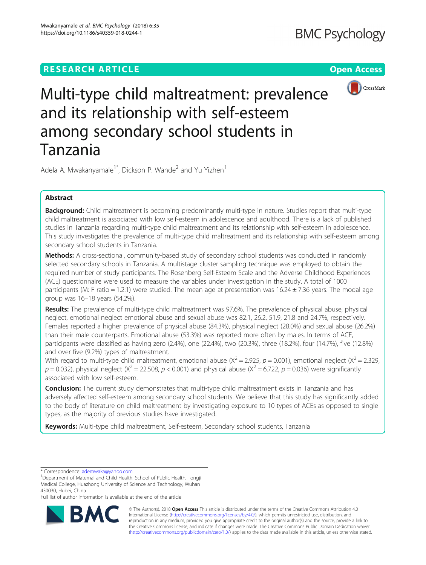# **RESEARCH ARTICLE Example 2014 CONSUMING A RESEARCH ARTICLE**



# Multi-type child maltreatment: prevalence and its relationship with self-esteem among secondary school students in Tanzania

Adela A. Mwakanyamale<sup>1\*</sup>, Dickson P. Wande<sup>2</sup> and Yu Yizhen<sup>1</sup>

# Abstract

Background: Child maltreatment is becoming predominantly multi-type in nature. Studies report that multi-type child maltreatment is associated with low self-esteem in adolescence and adulthood. There is a lack of published studies in Tanzania regarding multi-type child maltreatment and its relationship with self-esteem in adolescence. This study investigates the prevalence of multi-type child maltreatment and its relationship with self-esteem among secondary school students in Tanzania.

**Methods:** A cross-sectional, community-based study of secondary school students was conducted in randomly selected secondary schools in Tanzania. A multistage cluster sampling technique was employed to obtain the required number of study participants. The Rosenberg Self-Esteem Scale and the Adverse Childhood Experiences (ACE) questionnaire were used to measure the variables under investigation in the study. A total of 1000 participants (M: F ratio = 1.2:1) were studied. The mean age at presentation was  $16.24 \pm 7.36$  years. The modal age group was 16–18 years (54.2%).

Results: The prevalence of multi-type child maltreatment was 97.6%. The prevalence of physical abuse, physical neglect, emotional neglect emotional abuse and sexual abuse was 82.1, 26.2, 51.9, 21.8 and 24.7%, respectively. Females reported a higher prevalence of physical abuse (84.3%), physical neglect (28.0%) and sexual abuse (26.2%) than their male counterparts. Emotional abuse (53.3%) was reported more often by males. In terms of ACE, participants were classified as having zero (2.4%), one (22.4%), two (20.3%), three (18.2%), four (14.7%), five (12.8%) and over five (9.2%) types of maltreatment.

With regard to multi-type child maltreatment, emotional abuse  $(X^2 = 2.925, p = 0.001)$ , emotional neglect  $(X^2 = 2.329, p = 0.001)$  $p = 0.032$ ), physical neglect ( $X^2 = 22.508$ ,  $p < 0.001$ ) and physical abuse ( $X^2 = 6.722$ ,  $p = 0.036$ ) were significantly associated with low self-esteem.

**Conclusion:** The current study demonstrates that multi-type child maltreatment exists in Tanzania and has adversely affected self-esteem among secondary school students. We believe that this study has significantly added to the body of literature on child maltreatment by investigating exposure to 10 types of ACEs as opposed to single types, as the majority of previous studies have investigated.

Keywords: Multi-type child maltreatment, Self-esteem, Secondary school students, Tanzania

Full list of author information is available at the end of the article



© The Author(s). 2018 Open Access This article is distributed under the terms of the Creative Commons Attribution 4.0 International License [\(http://creativecommons.org/licenses/by/4.0/](http://creativecommons.org/licenses/by/4.0/)), which permits unrestricted use, distribution, and reproduction in any medium, provided you give appropriate credit to the original author(s) and the source, provide a link to the Creative Commons license, and indicate if changes were made. The Creative Commons Public Domain Dedication waiver [\(http://creativecommons.org/publicdomain/zero/1.0/](http://creativecommons.org/publicdomain/zero/1.0/)) applies to the data made available in this article, unless otherwise stated.

<sup>\*</sup> Correspondence: [ademwaka@yahoo.com](mailto:ademwaka@yahoo.com) <sup>1</sup>

<sup>&</sup>lt;sup>1</sup>Department of Maternal and Child Health, School of Public Health, Tongji Medical College, Huazhong University of Science and Technology, Wuhan 430030, Hubei, China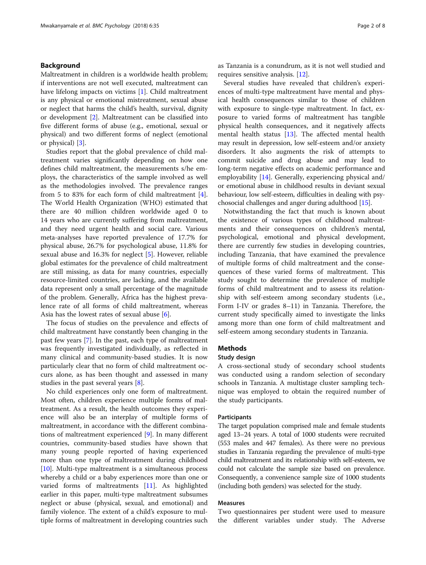# Background

Maltreatment in children is a worldwide health problem; if interventions are not well executed, maltreatment can have lifelong impacts on victims [\[1](#page-7-0)]. Child maltreatment is any physical or emotional mistreatment, sexual abuse or neglect that harms the child's health, survival, dignity or development [[2\]](#page-7-0). Maltreatment can be classified into five different forms of abuse (e.g., emotional, sexual or physical) and two different forms of neglect (emotional or physical) [\[3](#page-7-0)].

Studies report that the global prevalence of child maltreatment varies significantly depending on how one defines child maltreatment, the measurements s/he employs, the characteristics of the sample involved as well as the methodologies involved. The prevalence ranges from 5 to 83% for each form of child maltreatment [\[4](#page-7-0)]. The World Health Organization (WHO) estimated that there are 40 million children worldwide aged 0 to 14 years who are currently suffering from maltreatment, and they need urgent health and social care. Various meta-analyses have reported prevalence of 17.7% for physical abuse, 26.7% for psychological abuse, 11.8% for sexual abuse and 16.3% for neglect [\[5](#page-7-0)]. However, reliable global estimates for the prevalence of child maltreatment are still missing, as data for many countries, especially resource-limited countries, are lacking, and the available data represent only a small percentage of the magnitude of the problem. Generally, Africa has the highest prevalence rate of all forms of child maltreatment, whereas Asia has the lowest rates of sexual abuse [\[6](#page-7-0)].

The focus of studies on the prevalence and effects of child maltreatment have constantly been changing in the past few years [\[7](#page-7-0)]. In the past, each type of maltreatment was frequently investigated individually, as reflected in many clinical and community-based studies. It is now particularly clear that no form of child maltreatment occurs alone, as has been thought and assessed in many studies in the past several years [[8\]](#page-7-0).

No child experiences only one form of maltreatment. Most often, children experience multiple forms of maltreatment. As a result, the health outcomes they experience will also be an interplay of multiple forms of maltreatment, in accordance with the different combinations of maltreatment experienced [[9\]](#page-7-0). In many different countries, community-based studies have shown that many young people reported of having experienced more than one type of maltreatment during childhood  $[10]$  $[10]$ . Multi-type maltreatment is a simultaneous process whereby a child or a baby experiences more than one or varied forms of maltreatments [\[11](#page-7-0)]. As highlighted earlier in this paper, multi-type maltreatment subsumes neglect or abuse (physical, sexual, and emotional) and family violence. The extent of a child's exposure to multiple forms of maltreatment in developing countries such as Tanzania is a conundrum, as it is not well studied and requires sensitive analysis. [[12\]](#page-7-0).

Several studies have revealed that children's experiences of multi-type maltreatment have mental and physical health consequences similar to those of children with exposure to single-type maltreatment. In fact, exposure to varied forms of maltreatment has tangible physical health consequences, and it negatively affects mental health status [[13\]](#page-7-0). The affected mental health may result in depression, low self-esteem and/or anxiety disorders. It also augments the risk of attempts to commit suicide and drug abuse and may lead to long-term negative effects on academic performance and employability [[14\]](#page-7-0). Generally, experiencing physical and/ or emotional abuse in childhood results in deviant sexual behaviour, low self-esteem, difficulties in dealing with psychosocial challenges and anger during adulthood [\[15](#page-7-0)].

Notwithstanding the fact that much is known about the existence of various types of childhood maltreatments and their consequences on children's mental, psychological, emotional and physical development, there are currently few studies in developing countries, including Tanzania, that have examined the prevalence of multiple forms of child maltreatment and the consequences of these varied forms of maltreatment. This study sought to determine the prevalence of multiple forms of child maltreatment and to assess its relationship with self-esteem among secondary students (i.e., Form I-IV or grades 8–11) in Tanzania. Therefore, the current study specifically aimed to investigate the links among more than one form of child maltreatment and self-esteem among secondary students in Tanzania.

# **Methods**

# Study design

A cross-sectional study of secondary school students was conducted using a random selection of secondary schools in Tanzania. A multistage cluster sampling technique was employed to obtain the required number of the study participants.

# Participants

The target population comprised male and female students aged 13–24 years. A total of 1000 students were recruited (553 males and 447 females). As there were no previous studies in Tanzania regarding the prevalence of multi-type child maltreatment and its relationship with self-esteem, we could not calculate the sample size based on prevalence. Consequently, a convenience sample size of 1000 students (including both genders) was selected for the study.

# Measures

Two questionnaires per student were used to measure the different variables under study. The Adverse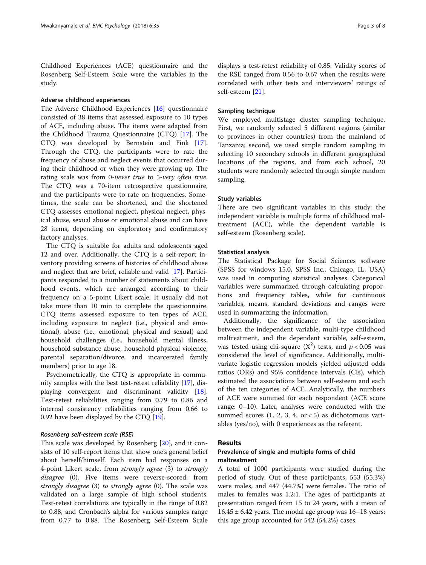Childhood Experiences (ACE) questionnaire and the Rosenberg Self-Esteem Scale were the variables in the study.

# Adverse childhood experiences

The Adverse Childhood Experiences [[16\]](#page-7-0) questionnaire consisted of 38 items that assessed exposure to 10 types of ACE, including abuse. The items were adapted from the Childhood Trauma Questionnaire (CTQ) [[17\]](#page-7-0). The CTQ was developed by Bernstein and Fink [\[17](#page-7-0)]. Through the CTQ, the participants were to rate the frequency of abuse and neglect events that occurred during their childhood or when they were growing up. The rating scale was from 0-never true to 5-very often true. The CTQ was a 70-item retrospective questionnaire, and the participants were to rate on frequencies. Sometimes, the scale can be shortened, and the shortened CTQ assesses emotional neglect, physical neglect, physical abuse, sexual abuse or emotional abuse and can have 28 items, depending on exploratory and confirmatory factory analyses.

The CTQ is suitable for adults and adolescents aged 12 and over. Additionally, the CTQ is a self-report inventory providing screens of histories of childhood abuse and neglect that are brief, reliable and valid [\[17](#page-7-0)]. Participants responded to a number of statements about childhood events, which are arranged according to their frequency on a 5-point Likert scale. It usually did not take more than 10 min to complete the questionnaire. CTQ items assessed exposure to ten types of ACE, including exposure to neglect (i.e., physical and emotional), abuse (i.e., emotional, physical and sexual) and household challenges (i.e., household mental illness, household substance abuse, household physical violence, parental separation/divorce, and incarcerated family members) prior to age 18.

Psychometrically, the CTQ is appropriate in community samples with the best test-retest reliability [[17\]](#page-7-0), displaying convergent and discriminant validity [\[18](#page-7-0)]. Test-retest reliabilities ranging from 0.79 to 0.86 and internal consistency reliabilities ranging from 0.66 to 0.92 have been displayed by the CTQ [\[19](#page-7-0)].

This scale was developed by Rosenberg [\[20\]](#page-7-0), and it consists of 10 self-report items that show one's general belief about herself/himself. Each item had responses on a 4-point Likert scale, from strongly agree (3) to strongly disagree (0). Five items were reverse-scored, from strongly disagree (3) to strongly agree (0). The scale was validated on a large sample of high school students. Test-retest correlations are typically in the range of 0.82 to 0.88, and Cronbach's alpha for various samples range from 0.77 to 0.88. The Rosenberg Self-Esteem Scale

displays a test-retest reliability of 0.85. Validity scores of the RSE ranged from 0.56 to 0.67 when the results were correlated with other tests and interviewers' ratings of self-esteem [\[21](#page-7-0)].

# Sampling technique

We employed multistage cluster sampling technique. First, we randomly selected 5 different regions (similar to provinces in other countries) from the mainland of Tanzania; second, we used simple random sampling in selecting 10 secondary schools in different geographical locations of the regions, and from each school, 20 students were randomly selected through simple random sampling.

## Study variables

There are two significant variables in this study: the independent variable is multiple forms of childhood maltreatment (ACE), while the dependent variable is self-esteem (Rosenberg scale).

# Statistical analysis

The Statistical Package for Social Sciences software (SPSS for windows 15.0, SPSS Inc., Chicago, IL, USA) was used in computing statistical analyses. Categorical variables were summarized through calculating proportions and frequency tables, while for continuous variables, means, standard deviations and ranges were used in summarizing the information.

Additionally, the significance of the association between the independent variable, multi-type childhood maltreatment, and the dependent variable, self-esteem, was tested using chi-square  $(X^2)$  tests, and  $p < 0.05$  was considered the level of significance. Additionally, multivariate logistic regression models yielded adjusted odds ratios (ORs) and 95% confidence intervals (CIs), which estimated the associations between self-esteem and each of the ten categories of ACE. Analytically, the numbers of ACE were summed for each respondent (ACE score range: 0–10). Later, analyses were conducted with the summed scores  $(1, 2, 3, 4, \text{ or } < 5)$  as dichotomous variables (yes/no), with 0 experiences as the referent.

# Results

# Prevalence of single and multiple forms of child maltreatment

A total of 1000 participants were studied during the period of study. Out of these participants, 553 (55.3%) were males, and 447 (44.7%) were females. The ratio of males to females was 1.2:1. The ages of participants at presentation ranged from 15 to 24 years, with a mean of  $16.45 \pm 6.42$  years. The modal age group was  $16-18$  years; this age group accounted for 542 (54.2%) cases.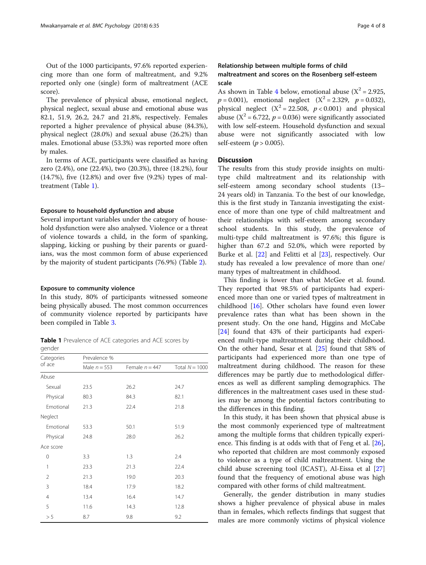Out of the 1000 participants, 97.6% reported experiencing more than one form of maltreatment, and 9.2% reported only one (single) form of maltreatment (ACE score).

The prevalence of physical abuse, emotional neglect, physical neglect, sexual abuse and emotional abuse was 82.1, 51.9, 26.2, 24.7 and 21.8%, respectively. Females reported a higher prevalence of physical abuse (84.3%), physical neglect (28.0%) and sexual abuse (26.2%) than males. Emotional abuse (53.3%) was reported more often by males.

In terms of ACE, participants were classified as having zero (2.4%), one (22.4%), two (20.3%), three (18.2%), four (14.7%), five (12.8%) and over five (9.2%) types of maltreatment (Table 1).

#### Exposure to household dysfunction and abuse

Several important variables under the category of household dysfunction were also analysed. Violence or a threat of violence towards a child, in the form of spanking, slapping, kicking or pushing by their parents or guardians, was the most common form of abuse experienced by the majority of student participants (76.9%) (Table [2](#page-4-0)).

#### Exposure to community violence

In this study, 80% of participants witnessed someone being physically abused. The most common occurrences of community violence reported by participants have been compiled in Table [3](#page-4-0).

Table 1 Prevalence of ACE categories and ACE scores by gender

| Categories     | Prevalence %   |                  |                  |  |
|----------------|----------------|------------------|------------------|--|
| of ace         | Male $n = 553$ | Female $n = 447$ | Total $N = 1000$ |  |
| Abuse          |                |                  |                  |  |
| Sexual         | 23.5           | 26.2             | 24.7             |  |
| Physical       | 80.3           | 84.3             | 82.1             |  |
| Emotional      | 21.3           | 22.4             | 21.8             |  |
| Neglect        |                |                  |                  |  |
| Emotional      | 53.3           | 50.1             | 51.9             |  |
| Physical       | 24.8           | 28.0             | 26.2             |  |
| Ace score      |                |                  |                  |  |
| 0              | 3.3            | 1.3              | 2.4              |  |
| 1              | 23.3           | 21.3             | 22.4             |  |
| 2              | 21.3           | 19.0             | 20.3             |  |
| 3              | 18.4           | 17.9             | 18.2             |  |
| $\overline{4}$ | 13.4           | 16.4             | 14.7             |  |
| 5              | 11.6           | 14.3             | 12.8             |  |
| > 5            | 8.7            | 9.8              | 9.2              |  |

# Relationship between multiple forms of child maltreatment and scores on the Rosenberg self-esteem scale

As shown in Table [4](#page-5-0) below, emotional abuse  $(X^2 = 2.925,$  $p = 0.001$ ), emotional neglect  $(X^2 = 2.329, p = 0.032)$ , physical neglect  $(X^2 = 22.508, p < 0.001)$  and physical abuse ( $X^2$  = 6.722,  $p$  = 0.036) were significantly associated with low self-esteem. Household dysfunction and sexual abuse were not significantly associated with low self-esteem ( $p > 0.005$ ).

# **Discussion**

The results from this study provide insights on multitype child maltreatment and its relationship with self-esteem among secondary school students (13– 24 years old) in Tanzania. To the best of our knowledge, this is the first study in Tanzania investigating the existence of more than one type of child maltreatment and their relationships with self-esteem among secondary school students. In this study, the prevalence of multi-type child maltreatment is 97.6%; this figure is higher than 67.2 and 52.0%, which were reported by Burke et al. [\[22](#page-7-0)] and Felitti et al [\[23](#page-7-0)], respectively. Our study has revealed a low prevalence of more than one/ many types of maltreatment in childhood.

This finding is lower than what McGee et al. found. They reported that 98.5% of participants had experienced more than one or varied types of maltreatment in childhood [\[16](#page-7-0)]. Other scholars have found even lower prevalence rates than what has been shown in the present study. On the one hand, Higgins and McCabe [[24\]](#page-7-0) found that 43% of their participants had experienced multi-type maltreatment during their childhood. On the other hand, Sesar et al. [[25](#page-7-0)] found that 58% of participants had experienced more than one type of maltreatment during childhood. The reason for these differences may be partly due to methodological differences as well as different sampling demographics. The differences in the maltreatment cases used in these studies may be among the potential factors contributing to the differences in this finding.

In this study, it has been shown that physical abuse is the most commonly experienced type of maltreatment among the multiple forms that children typically experience. This finding is at odds with that of Feng et al. [\[26](#page-7-0)], who reported that children are most commonly exposed to violence as a type of child maltreatment. Using the child abuse screening tool (ICAST), Al-Eissa et al [[27](#page-7-0)] found that the frequency of emotional abuse was high compared with other forms of child maltreatment.

Generally, the gender distribution in many studies shows a higher prevalence of physical abuse in males than in females, which reflects findings that suggest that males are more commonly victims of physical violence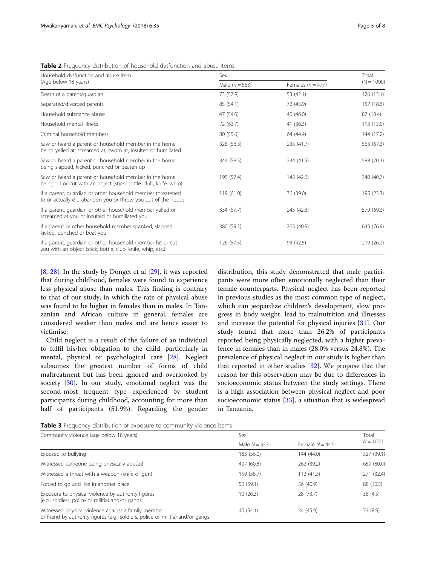<span id="page-4-0"></span>Table 2 Frequency distribution of household dysfunction and abuse items

| Household dysfunction and abuse item                                                                                        | Sex                    |                       | Total        |
|-----------------------------------------------------------------------------------------------------------------------------|------------------------|-----------------------|--------------|
| (Age below 18 years)                                                                                                        | Male $(n = 553)$       | Females ( $n = 477$ ) | $(N = 1000)$ |
| Death of a parent/guardian                                                                                                  | 73 (57.9)              | 53 (42.1)             | 126 (15.1)   |
| Separated/divorced parents                                                                                                  | 85 (54.1)              | 72 (45.9)             | 157 (18.8)   |
| Household substance abuse                                                                                                   | 47 (54.0)<br>40 (46.0) |                       | 87 (10.4)    |
| Household mental illness                                                                                                    | 72 (63.7)<br>41 (36.3) |                       | 113 (13.5)   |
| Criminal household members                                                                                                  | 80 (55.6)              | 64 (44.4)             | 144 (17.2)   |
| Saw or heard a parent or household member in the home<br>being yelled at, screamed at, sworn at, insulted or humiliated     | 328 (58.3)             | 235 (41.7)            | 563 (67.3)   |
| Saw or heard a parent or household member in the home<br>being slapped, kicked, punched or beaten up                        | 344 (58.5)             | 244 (41.5)            | 588 (70.3)   |
| Saw or heard a parent or household member in the home<br>being hit or cut with an object (stick, bottle, club, knife, whip) | 195 (57.4)             | 145 (42.6)            | 340 (40.7)   |
| If a parent, quardian or other household member threatened<br>to or actually did abandon you or throw you out of the house  | 119 (61.0)             | 76 (39.0)             | 195 (23.3)   |
| If a parent, quardian or other household member yelled or<br>screamed at you or insulted or humiliated you                  | 334 (57.7)             | 245 (42.3)            | 579 (69.3)   |
| If a parent or other household member spanked, slapped,<br>kicked, punched or beat you                                      | 380 (59.1)             | 263 (40.9)            | 643 (76.9)   |
| If a parent, quardian or other household member hit or cut<br>you with an object (stick, bottle, club, knife, whip, etc.)   | 126 (57.5)             | 93 (42.5)             | 219 (26.2)   |

[[8,](#page-7-0) [28\]](#page-7-0). In the study by Donget et al [\[29](#page-7-0)], it was reported that during childhood, females were found to experience less physical abuse than males. This finding is contrary to that of our study, in which the rate of physical abuse was found to be higher in females than in males. In Tanzanian and African culture in general, females are considered weaker than males and are hence easier to victimise.

Child neglect is a result of the failure of an individual to fulfil his/her obligation to the child, particularly in mental, physical or psychological care [\[28](#page-7-0)]. Neglect subsumes the greatest number of forms of child maltreatment but has been ignored and overlooked by society [\[30\]](#page-7-0). In our study, emotional neglect was the second-most frequent type experienced by student participants during childhood, accounting for more than half of participants (51.9%). Regarding the gender

distribution, this study demonstrated that male participants were more often emotionally neglected than their female counterparts. Physical neglect has been reported in previous studies as the most common type of neglect, which can jeopardize children's development, slow progress in body weight, lead to malnutrition and illnesses and increase the potential for physical injuries [\[31](#page-7-0)]. Our study found that more than 26.2% of participants reported being physically neglected, with a higher prevalence in females than in males (28.0% versus 24.8%). The prevalence of physical neglect in our study is higher than that reported in other studies [[32\]](#page-7-0). We propose that the reason for this observation may be due to differences in socioeconomic status between the study settings. There is a high association between physical neglect and poor socioeconomic status [[33\]](#page-7-0), a situation that is widespread in Tanzania.

Table 3 Frequency distribution of exposure to community violence items

| Community violence (age below 18 years)                                                                                                | Sex            | Total            |            |  |
|----------------------------------------------------------------------------------------------------------------------------------------|----------------|------------------|------------|--|
|                                                                                                                                        | Male $N = 553$ | Female $N = 447$ | $N = 1000$ |  |
| Exposed to bullying                                                                                                                    | 183 (56.0)     | 144 (44.0)       | 327 (39.1) |  |
| Witnessed someone being physically abused                                                                                              | 407 (60.8)     | 262 (39.2)       | 669 (80.0) |  |
| Witnessed a threat with a weapon (knife or gun)                                                                                        | 159 (58.7)     | 112(41.3)        | 271 (32.4) |  |
| Forced to go and live in another place                                                                                                 | 52 (59.1)      | 36 (40.9)        | 88 (10.5)  |  |
| Exposure to physical violence by authority figures<br>(e.g., soldiers, police or militia) and/or gangs                                 | 10(26.3)       | 28 (73.7)        | 38(4.5)    |  |
| Witnessed physical violence against a family member<br>or friend by authority figures (e.g., soldiers, police or militia) and/or gangs | 40(54.1)       | 34 (45.9)        | 74 (8.9)   |  |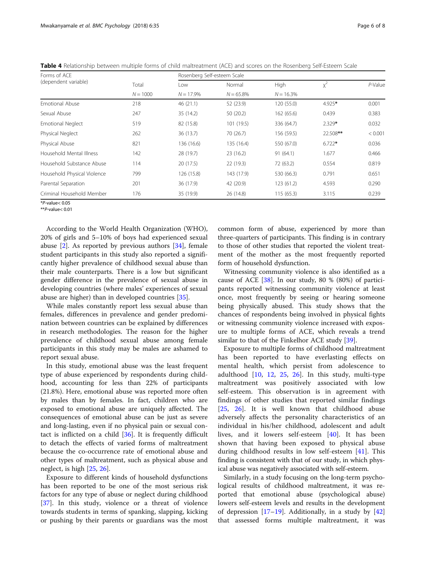| Forms of ACE<br>(dependent variable) |                     | Rosenberg Self-esteem Scale |                        |                     |          |         |
|--------------------------------------|---------------------|-----------------------------|------------------------|---------------------|----------|---------|
|                                      | Total<br>$N = 1000$ | Low<br>$N = 17.9%$          | Normal<br>$N = 65.8\%$ | High<br>$N = 16.3%$ | $x^2$    | P-Value |
|                                      |                     |                             |                        |                     |          |         |
| Sexual Abuse                         | 247                 | 35 (14.2)                   | 50 (20.2)              | 162 (65.6)          | 0.439    | 0.383   |
| <b>Emotional Neglect</b>             | 519                 | 82 (15.8)                   | 101 (19.5)             | 336 (64.7)          | $2.329*$ | 0.032   |
| Physical Neglect                     | 262                 | 36 (13.7)                   | 70 (26.7)              | 156 (59.5)          | 22.508** | < 0.001 |
| Physical Abuse                       | 821                 | 136 (16.6)                  | 135 (16.4)             | 550 (67.0)          | $6.722*$ | 0.036   |
| Household Mental Illness             | 142                 | 28 (19.7)                   | 23(16.2)               | 91(64.1)            | 1.677    | 0.466   |
| Household Substance Abuse            | 114                 | 20 (17.5)                   | 22 (19.3)              | 72 (63.2)           | 0.554    | 0.819   |
| Household Physical Violence          | 799                 | 126 (15.8)                  | 143 (17.9)             | 530 (66.3)          | 0.791    | 0.651   |
| Parental Separation                  | 201                 | 36 (17.9)                   | 42 (20.9)              | 123(61.2)           | 4.593    | 0.290   |
| Criminal Household Member            | 176                 | 35 (19.9)                   | 26 (14.8)              | 115(65.3)           | 3.115    | 0.239   |

<span id="page-5-0"></span>Table 4 Relationship between multiple forms of child maltreatment (ACE) and scores on the Rosenberg Self-Esteem Scale

\*P-value< 0.05

\*\*P-value< 0.01

According to the World Health Organization (WHO), 20% of girls and 5–10% of boys had experienced sexual abuse  $[2]$  $[2]$ . As reported by previous authors  $[34]$  $[34]$  $[34]$ , female student participants in this study also reported a significantly higher prevalence of childhood sexual abuse than their male counterparts. There is a low but significant gender difference in the prevalence of sexual abuse in developing countries (where males' experiences of sexual abuse are higher) than in developed countries [\[35](#page-7-0)].

While males constantly report less sexual abuse than females, differences in prevalence and gender predomination between countries can be explained by differences in research methodologies. The reason for the higher prevalence of childhood sexual abuse among female participants in this study may be males are ashamed to report sexual abuse.

In this study, emotional abuse was the least frequent type of abuse experienced by respondents during childhood, accounting for less than 22% of participants (21.8%). Here, emotional abuse was reported more often by males than by females. In fact, children who are exposed to emotional abuse are uniquely affected. The consequences of emotional abuse can be just as severe and long-lasting, even if no physical pain or sexual contact is inflicted on a child  $[36]$  $[36]$  $[36]$ . It is frequently difficult to detach the effects of varied forms of maltreatment because the co-occurrence rate of emotional abuse and other types of maltreatment, such as physical abuse and neglect, is high [\[25](#page-7-0), [26](#page-7-0)].

Exposure to different kinds of household dysfunctions has been reported to be one of the most serious risk factors for any type of abuse or neglect during childhood [[37\]](#page-7-0). In this study, violence or a threat of violence towards students in terms of spanking, slapping, kicking or pushing by their parents or guardians was the most common form of abuse, experienced by more than three-quarters of participants. This finding is in contrary to those of other studies that reported the violent treatment of the mother as the most frequently reported form of household dysfunction.

Witnessing community violence is also identified as a cause of ACE [[38\]](#page-7-0). In our study, 80 % (80%) of participants reported witnessing community violence at least once, most frequently by seeing or hearing someone being physically abused. This study shows that the chances of respondents being involved in physical fights or witnessing community violence increased with exposure to multiple forms of ACE, which reveals a trend similar to that of the Finkelhor ACE study [\[39](#page-7-0)].

Exposure to multiple forms of childhood maltreatment has been reported to have everlasting effects on mental health, which persist from adolescence to adulthood  $[10, 12, 25, 26]$  $[10, 12, 25, 26]$  $[10, 12, 25, 26]$  $[10, 12, 25, 26]$  $[10, 12, 25, 26]$  $[10, 12, 25, 26]$  $[10, 12, 25, 26]$  $[10, 12, 25, 26]$  $[10, 12, 25, 26]$ . In this study, multi-type maltreatment was positively associated with low self-esteem. This observation is in agreement with findings of other studies that reported similar findings [[25,](#page-7-0) [26](#page-7-0)]. It is well known that childhood abuse adversely affects the personality characteristics of an individual in his/her childhood, adolescent and adult lives, and it lowers self-esteem [[40\]](#page-7-0). It has been shown that having been exposed to physical abuse during childhood results in low self-esteem [\[41](#page-7-0)]. This finding is consistent with that of our study, in which physical abuse was negatively associated with self-esteem.

Similarly, in a study focusing on the long-term psychological results of childhood maltreatment, it was reported that emotional abuse (psychological abuse) lowers self-esteem levels and results in the development of depression  $[17–19]$  $[17–19]$  $[17–19]$  $[17–19]$ . Additionally, in a study by  $[42]$  $[42]$  $[42]$ that assessed forms multiple maltreatment, it was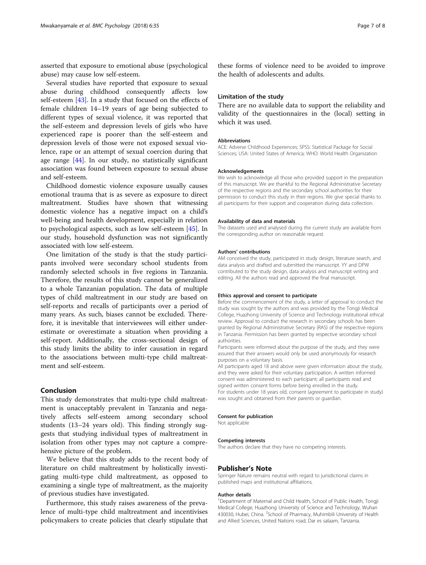asserted that exposure to emotional abuse (psychological abuse) may cause low self-esteem.

Several studies have reported that exposure to sexual abuse during childhood consequently affects low self-esteem [\[43](#page-7-0)]. In a study that focused on the effects of female children 14–19 years of age being subjected to different types of sexual violence, it was reported that the self-esteem and depression levels of girls who have experienced rape is poorer than the self-esteem and depression levels of those were not exposed sexual violence, rape or an attempt of sexual coercion during that age range [[44\]](#page-7-0). In our study, no statistically significant association was found between exposure to sexual abuse and self-esteem.

Childhood domestic violence exposure usually causes emotional trauma that is as severe as exposure to direct maltreatment. Studies have shown that witnessing domestic violence has a negative impact on a child's well-being and health development, especially in relation to psychological aspects, such as low self-esteem [[45](#page-7-0)]. In our study, household dysfunction was not significantly associated with low self-esteem.

One limitation of the study is that the study participants involved were secondary school students from randomly selected schools in five regions in Tanzania. Therefore, the results of this study cannot be generalized to a whole Tanzanian population. The data of multiple types of child maltreatment in our study are based on self-reports and recalls of participants over a period of many years. As such, biases cannot be excluded. Therefore, it is inevitable that interviewees will either underestimate or overestimate a situation when providing a self-report. Additionally, the cross-sectional design of this study limits the ability to infer causation in regard to the associations between multi-type child maltreatment and self-esteem.

# Conclusion

This study demonstrates that multi-type child maltreatment is unacceptably prevalent in Tanzania and negatively affects self-esteem among secondary school students (13–24 years old). This finding strongly suggests that studying individual types of maltreatment in isolation from other types may not capture a comprehensive picture of the problem.

We believe that this study adds to the recent body of literature on child maltreatment by holistically investigating multi-type child maltreatment, as opposed to examining a single type of maltreatment, as the majority of previous studies have investigated.

Furthermore, this study raises awareness of the prevalence of multi-type child maltreatment and incentivises policymakers to create policies that clearly stipulate that

these forms of violence need to be avoided to improve the health of adolescents and adults.

# Limitation of the study

There are no available data to support the reliability and validity of the questionnaires in the (local) setting in which it was used.

#### Abbreviations

ACE: Adverse Childhood Experiences; SPSS: Statistical Package for Social Sciences; USA: United States of America; WHO: World Health Organization

#### Acknowledgements

We wish to acknowledge all those who provided support in the preparation of this manuscript. We are thankful to the Regional Administrative Secretary of the respective regions and the secondary school authorities for their permission to conduct this study in their regions. We give special thanks to all participants for their support and cooperation during data collection.

#### Availability of data and materials

The datasets used and analysed during the current study are available from the corresponding author on reasonable request.

#### Authors' contributions

AM conceived the study, participated in study design, literature search, and data analysis and drafted and submitted the manuscript. YY and DPW contributed to the study design, data analysis and manuscript writing and editing. All the authors read and approved the final manuscript.

#### Ethics approval and consent to participate

Before the commencement of the study, a letter of approval to conduct the study was sought by the authors and was provided by the Tongji Medical College, Huazhong University of Science and Technology institutional ethical review. Approval to conduct the research in secondary schools has been granted by Regional Administrative Secretary (RAS) of the respective regions in Tanzania. Permission has been granted by respective secondary school authorities.

Participants were informed about the purpose of the study, and they were assured that their answers would only be used anonymously for research purposes on a voluntary basis.

All participants aged 18 and above were given information about the study, and they were asked for their voluntary participation. A written informed consent was administered to each participant; all participants read and signed written consent forms before being enrolled in the study. For students under 18 years old, consent (agreement to participate in study) was sought and obtained from their parents or guardian.

#### Consent for publication

Not applicable

#### Competing interests

The authors declare that they have no competing interests.

#### Publisher's Note

Springer Nature remains neutral with regard to jurisdictional claims in published maps and institutional affiliations.

#### Author details

<sup>1</sup>Department of Maternal and Child Health, School of Public Health, Tongji Medical College, Huazhong University of Science and Technology, Wuhan 430030, Hubei, China. <sup>2</sup>School of Pharmacy, Muhimbili University of Health and Allied Sciences, United Nations road, Dar es salaam, Tanzania.